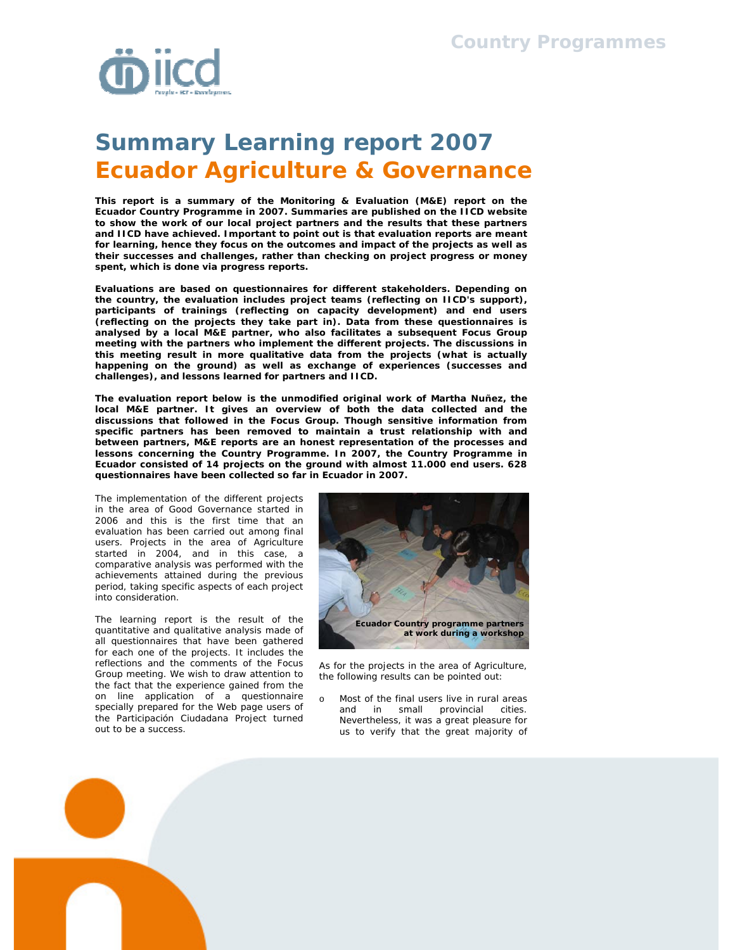

## **Summary Learning report 2007 Ecuador Agriculture & Governance**

**This report is a summary of the Monitoring & Evaluation (M&E) report on the Ecuador Country Programme in 2007. Summaries are published on the IICD website to show the work of our local project partners and the results that these partners and IICD have achieved. Important to point out is that evaluation reports are meant for learning, hence they focus on the outcomes and impact of the projects as well as their successes and challenges, rather than checking on project progress or money spent, which is done via progress reports.** 

**Evaluations are based on questionnaires for different stakeholders. Depending on the country, the evaluation includes project teams (reflecting on IICD's support), participants of trainings (reflecting on capacity development) and end users (reflecting on the projects they take part in). Data from these questionnaires is analysed by a local M&E partner, who also facilitates a subsequent Focus Group meeting with the partners who implement the different projects. The discussions in this meeting result in more qualitative data from the projects (what is actually happening on the ground) as well as exchange of experiences (successes and challenges), and lessons learned for partners and IICD.** 

**The evaluation report below is the unmodified original work of Martha Nuñez, the local M&E partner. It gives an overview of both the data collected and the discussions that followed in the Focus Group. Though sensitive information from specific partners has been removed to maintain a trust relationship with and between partners, M&E reports are an honest representation of the processes and lessons concerning the Country Programme. In 2007, the Country Programme in Ecuador consisted of 14 projects on the ground with almost 11.000 end users. 628 questionnaires have been collected so far in Ecuador in 2007.** 

The implementation of the different projects in the area of Good Governance started in 2006 and this is the first time that an evaluation has been carried out among final users. Projects in the area of Agriculture started in 2004, and in this case, a comparative analysis was performed with the achievements attained during the previous period, taking specific aspects of each project into consideration.

The learning report is the result of the quantitative and qualitative analysis made of all questionnaires that have been gathered for each one of the projects. It includes the reflections and the comments of the Focus Group meeting. We wish to draw attention to the fact that the experience gained from the on line application of a questionnaire specially prepared for the Web page users of the Participación Ciudadana Project turned out to be a success.



As for the projects in the area of Agriculture, the following results can be pointed out:

Most of the final users live in rural areas and in small provincial cities. Nevertheless, it was a great pleasure for us to verify that the great majority of

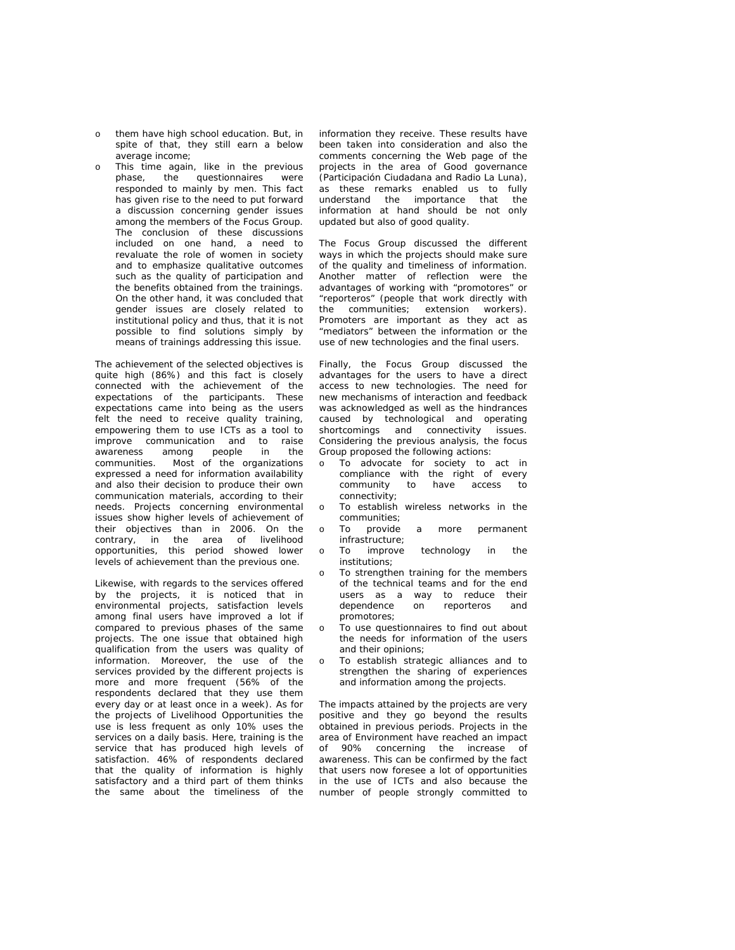- o them have high school education. But, in spite of that, they still earn a below average income;
- o This time again, like in the previous<br>phase, the questionnaires were the questionnaires were responded to mainly by men. This fact has given rise to the need to put forward a discussion concerning gender issues among the members of the Focus Group. The conclusion of these discussions included on one hand, a need to revaluate the role of women in society and to emphasize qualitative outcomes such as the quality of participation and the benefits obtained from the trainings. On the other hand, it was concluded that gender issues are closely related to institutional policy and thus, that it is not possible to find solutions simply by means of trainings addressing this issue.

The achievement of the selected objectives is quite high (86%) and this fact is closely connected with the achievement of the expectations of the participants. These expectations came into being as the users felt the need to receive quality training, empowering them to use ICTs as a tool to improve communication and to raise awareness among people in the communities. Most of the organizations expressed a need for information availability and also their decision to produce their own communication materials, according to their needs. Projects concerning environmental issues show higher levels of achievement of their objectives than in 2006. On the contrary, in the area of livelihood opportunities, this period showed lower levels of achievement than the previous one.

Likewise, with regards to the services offered by the projects, it is noticed that in environmental projects, satisfaction levels among final users have improved a lot if compared to previous phases of the same projects. The one issue that obtained high qualification from the users was quality of information. Moreover, the use of the services provided by the different projects is more and more frequent (56% of the respondents declared that they use them every day or at least once in a week). As for the projects of Livelihood Opportunities the use is less frequent as only 10% uses the services on a daily basis. Here, training is the service that has produced high levels of satisfaction. 46% of respondents declared that the quality of information is highly satisfactory and a third part of them thinks the same about the timeliness of the

information they receive. These results have been taken into consideration and also the comments concerning the Web page of the projects in the area of Good governance (Participación Ciudadana and Radio La Luna), as these remarks enabled us to fully understand the importance that the information at hand should be not only updated but also of good quality.

The Focus Group discussed the different ways in which the projects should make sure of the quality and timeliness of information. Another matter of reflection were the advantages of working with "promotores" or "reporteros" (people that work directly with the communities; extension workers). Promoters are important as they act as "mediators" between the information or the use of new technologies and the final users.

Finally, the Focus Group discussed the advantages for the users to have a direct access to new technologies. The need for new mechanisms of interaction and feedback was acknowledged as well as the hindrances caused by technological and operating shortcomings and connectivity issues. Considering the previous analysis, the focus Group proposed the following actions:

- o To advocate for society to act in compliance with the right of every community to have access to connectivity;
- o To establish wireless networks in the communities;
- To provide a more permanent infrastructure;
- o To improve technology in the institutions;
- To strengthen training for the members of the technical teams and for the end users as a way to reduce their dependence on reporteros and promotores;
- o To use questionnaires to find out about the needs for information of the users and their opinions;
- To establish strategic alliances and to strengthen the sharing of experiences and information among the projects.

The impacts attained by the projects are very positive and they go beyond the results obtained in previous periods. Projects in the area of Environment have reached an impact of 90% concerning the increase of awareness. This can be confirmed by the fact that users now foresee a lot of opportunities in the use of ICTs and also because the number of people strongly committed to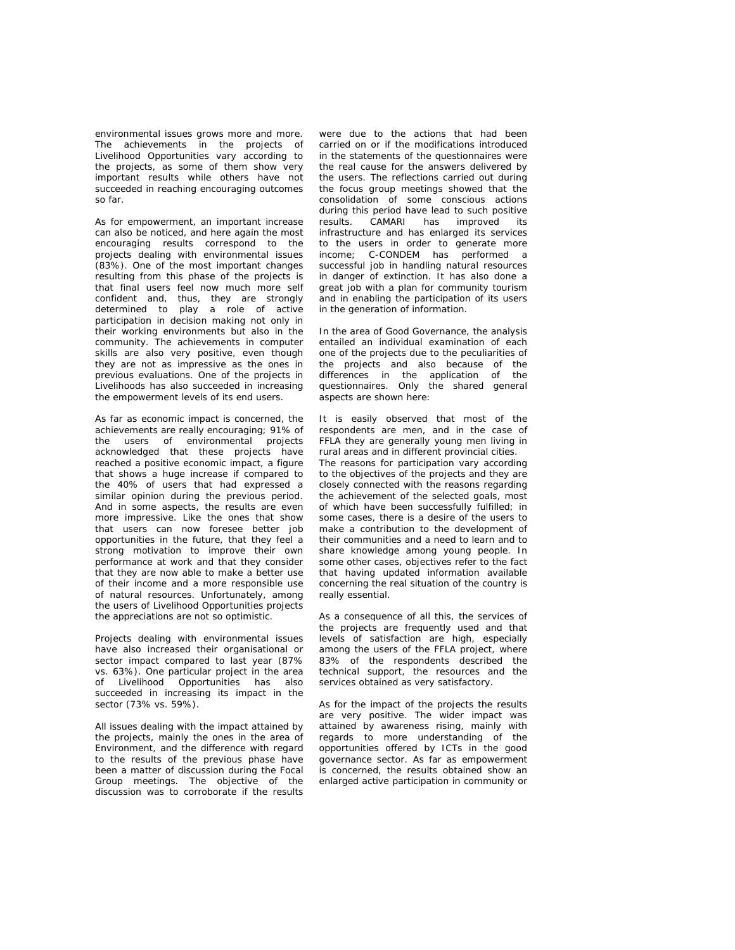environmental issues grows more and more. The achievements in the projects of Livelihood Opportunities vary according to the projects, as some of them show very important results while others have not succeeded in reaching encouraging outcomes so far.

As for empowerment, an important increase can also be noticed, and here again the most encouraging results correspond to the projects dealing with environmental issues (83%). One of the most important changes resulting from this phase of the projects is that final users feel now much more self confident and, thus, they are strongly determined to play a role of active participation in decision making not only in their working environments but also in the community. The achievements in computer skills are also very positive, even though they are not as impressive as the ones in previous evaluations. One of the projects in Livelihoods has also succeeded in increasing the empowerment levels of its end users.

As far as economic impact is concerned, the achievements are really encouraging; 91% of the users of environmental projects acknowledged that these projects have reached a positive economic impact, a figure that shows a huge increase if compared to the 40% of users that had expressed a similar opinion during the previous period. And in some aspects, the results are even more impressive. Like the ones that show that users can now foresee better job opportunities in the future, that they feel a strong motivation to improve their own performance at work and that they consider that they are now able to make a better use of their income and a more responsible use of natural resources. Unfortunately, among the users of Livelihood Opportunities projects the appreciations are not so optimistic.

Projects dealing with environmental issues have also increased their organisational or sector impact compared to last year (87% vs. 63%). One particular project in the area of Livelihood Opportunities has also succeeded in increasing its impact in the sector (73% vs. 59%).

All issues dealing with the impact attained by the projects, mainly the ones in the area of Environment, and the difference with regard to the results of the previous phase have been a matter of discussion during the Focal Group meetings. The objective of the discussion was to corroborate if the results

were due to the actions that had been carried on or if the modifications introduced in the statements of the questionnaires were the real cause for the answers delivered by the users. The reflections carried out during the focus group meetings showed that the consolidation of some conscious actions during this period have lead to such positive results. CAMARI has improved its infrastructure and has enlarged its services to the users in order to generate more income; C-CONDEM has performed a successful job in handling natural resources in danger of extinction. It has also done a great job with a plan for community tourism and in enabling the participation of its users in the generation of information.

In the area of Good Governance, the analysis entailed an individual examination of each one of the projects due to the peculiarities of the projects and also because of the differences in the application of the questionnaires. Only the shared general aspects are shown here:

It is easily observed that most of the respondents are men, and in the case of FFLA they are generally young men living in rural areas and in different provincial cities. The reasons for participation vary according to the objectives of the projects and they are closely connected with the reasons regarding the achievement of the selected goals, most of which have been successfully fulfilled; in some cases, there is a desire of the users to make a contribution to the development of their communities and a need to learn and to share knowledge among young people. In some other cases, objectives refer to the fact that having updated information available concerning the real situation of the country is really essential.

As a consequence of all this, the services of the projects are frequently used and that levels of satisfaction are high, especially among the users of the FFLA project, where 83% of the respondents described the technical support, the resources and the services obtained as very satisfactory.

As for the impact of the projects the results are very positive. The wider impact was attained by awareness rising, mainly with regards to more understanding of the opportunities offered by ICTs in the good governance sector. As far as empowerment is concerned, the results obtained show an enlarged active participation in community or